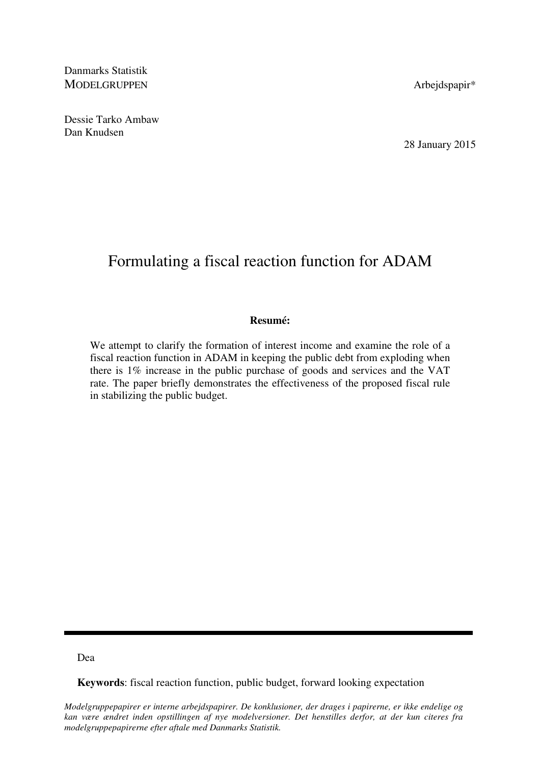Danmarks Statistik MODELGRUPPEN Arbejdspapir\*

Dessie Tarko Ambaw Dan Knudsen

28 January 2015

# Formulating a fiscal reaction function for ADAM

#### **Resumé:**

We attempt to clarify the formation of interest income and examine the role of a fiscal reaction function in ADAM in keeping the public debt from exploding when there is 1% increase in the public purchase of goods and services and the VAT rate. The paper briefly demonstrates the effectiveness of the proposed fiscal rule in stabilizing the public budget.

#### Dea

**Keywords**: fiscal reaction function, public budget, forward looking expectation

*Modelgruppepapirer er interne arbejdspapirer. De konklusioner, der drages i papirerne, er ikke endelige og kan være ændret inden opstillingen af nye modelversioner. Det henstilles derfor, at der kun citeres fra modelgruppepapirerne efter aftale med Danmarks Statistik.*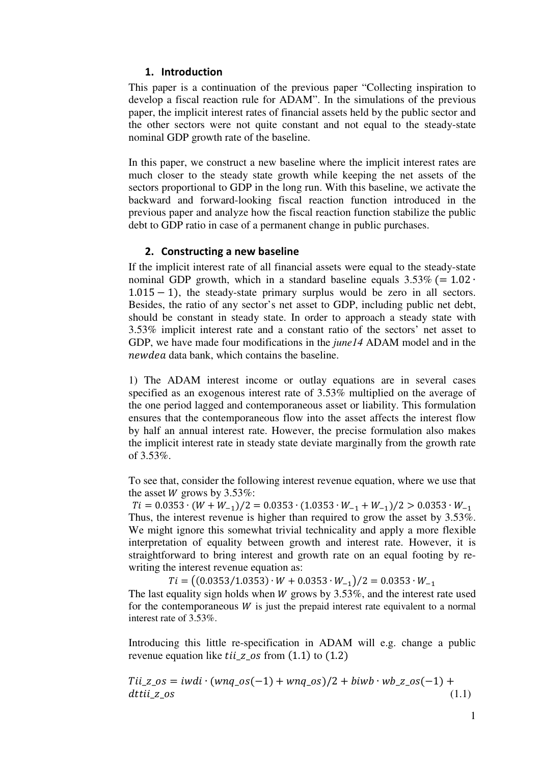### 1. Introduction

This paper is a continuation of the previous paper "Collecting inspiration to develop a fiscal reaction rule for ADAM". In the simulations of the previous paper, the implicit interest rates of financial assets held by the public sector and the other sectors were not quite constant and not equal to the steady-state nominal GDP growth rate of the baseline.

In this paper, we construct a new baseline where the implicit interest rates are much closer to the steady state growth while keeping the net assets of the sectors proportional to GDP in the long run. With this baseline, we activate the backward and forward-looking fiscal reaction function introduced in the previous paper and analyze how the fiscal reaction function stabilize the public debt to GDP ratio in case of a permanent change in public purchases.

### 2. Constructing a new baseline

If the implicit interest rate of all financial assets were equal to the steady-state nominal GDP growth, which in a standard baseline equals  $3.53\%$  (=  $1.02 \cdot$  $1.015 - 1$ ), the steady-state primary surplus would be zero in all sectors. Besides, the ratio of any sector's net asset to GDP, including public net debt, should be constant in steady state. In order to approach a steady state with 3.53% implicit interest rate and a constant ratio of the sectors' net asset to GDP, we have made four modifications in the *june14* ADAM model and in the newdea data bank, which contains the baseline.

1) The ADAM interest income or outlay equations are in several cases specified as an exogenous interest rate of 3.53% multiplied on the average of the one period lagged and contemporaneous asset or liability. This formulation ensures that the contemporaneous flow into the asset affects the interest flow by half an annual interest rate. However, the precise formulation also makes the implicit interest rate in steady state deviate marginally from the growth rate of 3.53%.

To see that, consider the following interest revenue equation, where we use that the asset *W* grows by  $3.53\%$ :

 $Ti = 0.0353 \cdot (W + W_{-1})/2 = 0.0353 \cdot (1.0353 \cdot W_{-1} + W_{-1})/2 > 0.0353 \cdot W_{-1}$ Thus, the interest revenue is higher than required to grow the asset by 3.53%. We might ignore this somewhat trivial technicality and apply a more flexible interpretation of equality between growth and interest rate. However, it is straightforward to bring interest and growth rate on an equal footing by rewriting the interest revenue equation as:

 $Ti = ((0.0353/1.0353) \cdot W + 0.0353 \cdot W_{-1})/2 = 0.0353 \cdot W_{-1}$ The last equality sign holds when  $W$  grows by 3.53%, and the interest rate used for the contemporaneous  $W$  is just the prepaid interest rate equivalent to a normal interest rate of 3.53%.

Introducing this little re-specification in ADAM will e.g. change a public revenue equation like  $\pi$  *til\_z\_os* from (1.1) to (1.2)

$$
Tii_z\cos = iwdi \cdot (wnq\cos(-1) + wnq\cos)/2 + biwb \cdot wb_z\cos(-1) +
$$
  
*dttiiz os* (1.1)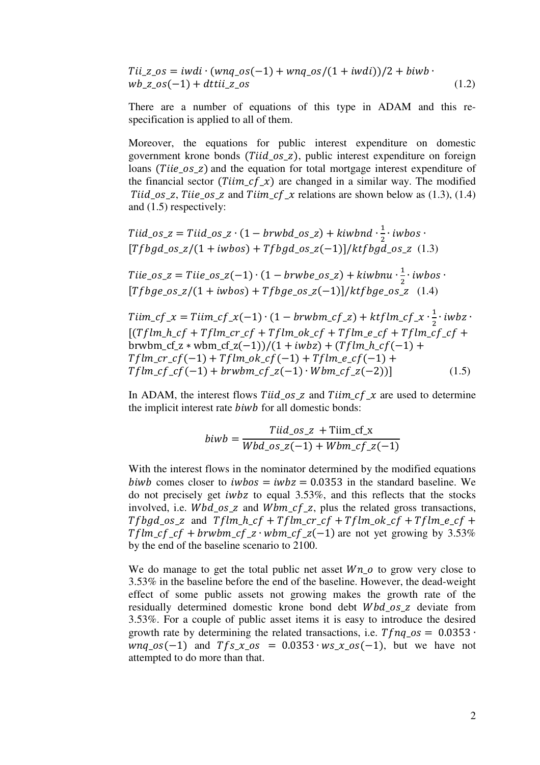$Tii_z$  =  $i$ wdi ·  $(wnq_0s(-1) + wnq_0s/(1 + i wdi))/2 + biwb$  ·  $wb_z\_\.os(-1) + dtti\_{z\_\.os}$  (1.2)

There are a number of equations of this type in ADAM and this respecification is applied to all of them.

Moreover, the equations for public interest expenditure on domestic government krone bonds ( $Tiid_{\text{SZ}}$ ), public interest expenditure on foreign loans (*Tiie\_os\_z*) and the equation for total mortgage interest expenditure of the financial sector ( $Tiim_c f_x$ ) are changed in a similar way. The modified Tiid os z, Tiie os z and Tiim of x relations are shown below as  $(1.3)$ ,  $(1.4)$ and (1.5) respectively:

$$
Tiid\_os_z = Tiid\_os_z \cdot (1 - b r w b d_os_z) + k i w b d \cdot \frac{1}{2} \cdot i w b o s \cdot
$$
  
[*Tfbgd\_os\_z*/(1 + *iwbos*) + *Tfbgd\_os\_z*(-1)]/kt*fbgd\_os\_z* (1.3)

Tiie\_os\_z = Tiie\_os\_z(-1)  $\cdot$  (1 – brwbe\_os\_z) + kiwbnu  $\cdot \frac{1}{2} \cdot$  iwbos  $\cdot$ [Tfbge os  $z/(1 + i w \text{bos}) + Tf \text{bg}e$  os  $z(-1)/k$ tfbge os z (1.4)

$$
T\lim_{c} cf_{x} = T\lim_{c} cf_{x}(-1) \cdot (1 - b r w b m_{c} c f_{z}) + k t f l m_{c} c f_{x} \cdot \frac{1}{2} \cdot i w b z \cdot [(T f l m_{c} c f + T f l m_{c} c f + T f l m_{c} c f + T f l m_{c} c f + T f l m_{c} c f_{c} f + b r w b m_{c} c f_{z} + w b m_{c} c f_{z}(-1))/(1 + i w b z) + (T f l m_{c} c f(-1) + T f l m_{c} c f(-1) + T f l m_{c} c f(-1) + r f l m_{c} c f(-1) + r f l m_{c} c f_{z}(-2))]
$$
\n
$$
(1.5)
$$

In ADAM, the interest flows Tiid os z and Tiim  $cf_x$  are used to determine the implicit interest rate *biwb* for all domestic bonds:

$$
b i w b = \frac{T i i d\_{os\_z} + \text{T} i i m\_{cf\_x}}{W b d\_{os\_z}(-1) + W b m\_{cf\_z}(-1)}
$$

With the interest flows in the nominator determined by the modified equations biwb comes closer to  $iwbos = iwbz = 0.0353$  in the standard baseline. We do not precisely get *iwbz* to equal  $3.53\%$ , and this reflects that the stocks involved, i.e.  $Wbd_$ os\_z and  $Wbm_c f$ \_z, plus the related gross transactions,  $Tfbgd\_os\_z$  and  $Tflm\_h\_cf + Tflm\_cr\_cf + Tflm\_ok\_cf + Tflm\_e\_cf +$  $Tflm_c f_c f + b r w b m_c f_z w b m_c f_z (-1)$  are not yet growing by 3.53% by the end of the baseline scenario to 2100.

We do manage to get the total public net asset  $Wn_{\text{o}}$  to grow very close to 3.53% in the baseline before the end of the baseline. However, the dead-weight effect of some public assets not growing makes the growth rate of the residually determined domestic krone bond debt  $Wbd_0s_z$  deviate from 3.53%. For a couple of public asset items it is easy to introduce the desired growth rate by determining the related transactions, i.e.  $Tfnq$ <sub>-0</sub>s = 0.0353 ⋅  $wnq_0s(-1)$  and  $Tfs_x$   $\alpha s = 0.0353 \cdot ws_x$   $\alpha s(-1)$ , but we have not attempted to do more than that.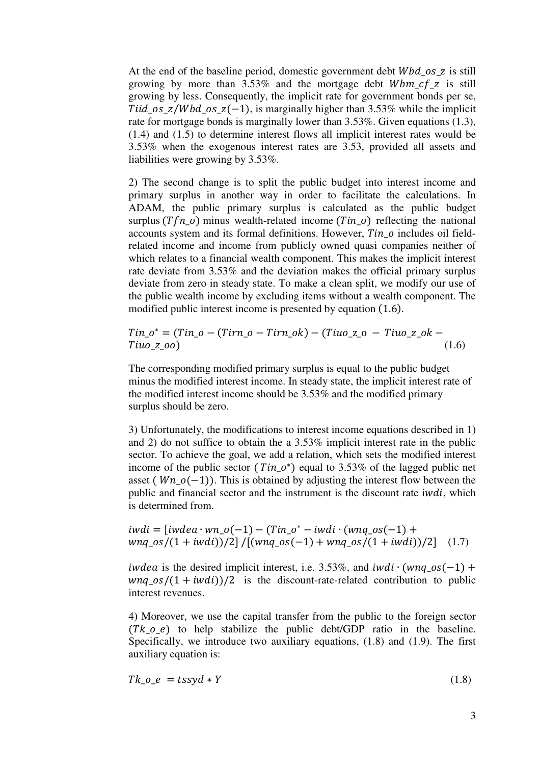At the end of the baseline period, domestic government debt  $Wbd$  os z is still growing by more than  $3.53\%$  and the mortgage debt *Wbm cf z* is still growing by less. Consequently, the implicit rate for government bonds per se, Tiid os  $z/Wbd$  os  $z(-1)$ , is marginally higher than 3.53% while the implicit rate for mortgage bonds is marginally lower than 3.53%. Given equations (1.3), (1.4) and (1.5) to determine interest flows all implicit interest rates would be 3.53% when the exogenous interest rates are 3.53, provided all assets and liabilities were growing by 3.53%.

2) The second change is to split the public budget into interest income and primary surplus in another way in order to facilitate the calculations. In ADAM, the public primary surplus is calculated as the public budget surplus  $(Tfn_0)$  minus wealth-related income  $(Tin_0)$  reflecting the national accounts system and its formal definitions. However,  $T$ in  $o$  includes oil fieldrelated income and income from publicly owned quasi companies neither of which relates to a financial wealth component. This makes the implicit interest rate deviate from 3.53% and the deviation makes the official primary surplus deviate from zero in steady state. To make a clean split, we modify our use of the public wealth income by excluding items without a wealth component. The modified public interest income is presented by equation (1.6).

$$
Tin_0^* = (Tin_0 - (Tirn_0 - Tirn_0k) - (Tiu_2 - 0 - Tiu_2 - ok - Tiu_2 - 0)
$$
\n(1.6)

The corresponding modified primary surplus is equal to the public budget minus the modified interest income. In steady state, the implicit interest rate of the modified interest income should be 3.53% and the modified primary surplus should be zero.

3) Unfortunately, the modifications to interest income equations described in 1) and 2) do not suffice to obtain the a 3.53% implicit interest rate in the public sector. To achieve the goal, we add a relation, which sets the modified interest income of the public sector ( $Tin_0^*$ ) equal to 3.53% of the lagged public net asset ( $Wn \space o(-1)$ ). This is obtained by adjusting the interest flow between the public and financial sector and the instrument is the discount rate i $wdi$ , which is determined from.

 $i$ wdi =  $[iwdea \cdot wn_0(-1) - (Tin_0^* - iwdi \cdot (wnq_0s(-1)) +$  $wng \cos((1 + iwdi))/2] / [(wng \cos(-1) + wng \cos((1 + iwdi))/2]$  (1.7)

*iwdea* is the desired implicit interest, i.e. 3.53%, and *iwdi*  $·$  (*wng os*(-1) +  $wnq$ <sub>0</sub>s/ $(1 + iwdi)/2$  is the discount-rate-related contribution to public interest revenues.

4) Moreover, we use the capital transfer from the public to the foreign sector  $(Tk \ o_e)$  to help stabilize the public debt/GDP ratio in the baseline. Specifically, we introduce two auxiliary equations, (1.8) and (1.9). The first auxiliary equation is:

$$
Tk\_o\_e = tssyd * Y \tag{1.8}
$$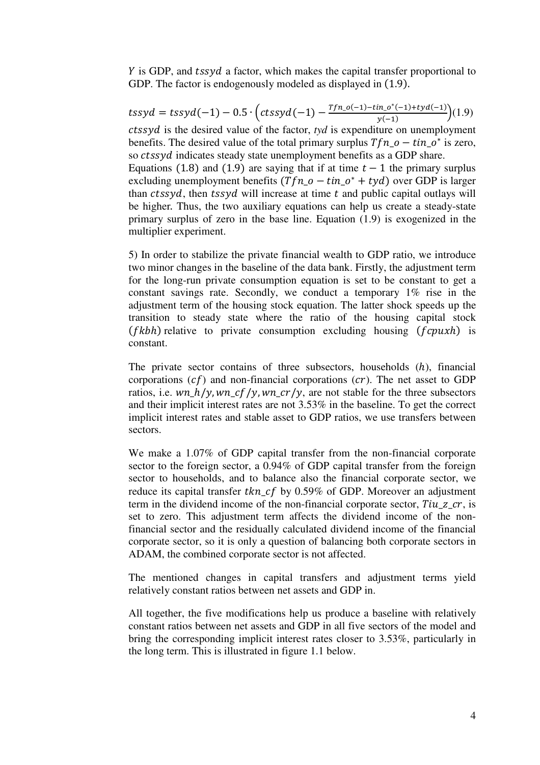$\hat{Y}$  is GDP, and *tssyd* a factor, which makes the capital transfer proportional to GDP. The factor is endogenously modeled as displayed in  $(1.9)$ .

$$
tssyd = tssyd(-1) - 0.5 \cdot \left(ctssyd(-1) - \frac{Tfn_0(-1) - tin_0^*(-1) + tyd(-1)}{y(-1)}\right)(1.9)
$$

 $ctssyd$  is the desired value of the factor,  $tyd$  is expenditure on unemployment benefits. The desired value of the total primary surplus  $Tfn_0 - \tan_0^*$  is zero, so *ctssvd* indicates steady state unemployment benefits as a GDP share.

Equations (1.8) and (1.9) are saying that if at time  $t - 1$  the primary surplus excluding unemployment benefits  $(Tfn_0 - \tan_0^* + tyd)$  over GDP is larger than  $ctssyd$ , then  $tssyd$  will increase at time  $t$  and public capital outlays will be higher. Thus, the two auxiliary equations can help us create a steady-state primary surplus of zero in the base line. Equation (1.9) is exogenized in the multiplier experiment.

5) In order to stabilize the private financial wealth to GDP ratio, we introduce two minor changes in the baseline of the data bank. Firstly, the adjustment term for the long-run private consumption equation is set to be constant to get a constant savings rate. Secondly, we conduct a temporary 1% rise in the adjustment term of the housing stock equation. The latter shock speeds up the transition to steady state where the ratio of the housing capital stock  $(fkbh)$  relative to private consumption excluding housing  $(fcpxkh)$  is constant.

The private sector contains of three subsectors, households  $(h)$ , financial corporations  $(cf)$  and non-financial corporations  $(cr)$ . The net asset to GDP ratios, i.e.  $wn_h/y, wn_c f/y, wn_c r/y$ , are not stable for the three subsectors and their implicit interest rates are not 3.53% in the baseline. To get the correct implicit interest rates and stable asset to GDP ratios, we use transfers between sectors.

We make a 1.07% of GDP capital transfer from the non-financial corporate sector to the foreign sector, a 0.94% of GDP capital transfer from the foreign sector to households, and to balance also the financial corporate sector, we reduce its capital transfer tkn cf by  $0.59\%$  of GDP. Moreover an adjustment term in the dividend income of the non-financial corporate sector, Tiu z  $cr$ , is set to zero. This adjustment term affects the dividend income of the nonfinancial sector and the residually calculated dividend income of the financial corporate sector, so it is only a question of balancing both corporate sectors in ADAM, the combined corporate sector is not affected.

The mentioned changes in capital transfers and adjustment terms yield relatively constant ratios between net assets and GDP in.

All together, the five modifications help us produce a baseline with relatively constant ratios between net assets and GDP in all five sectors of the model and bring the corresponding implicit interest rates closer to 3.53%, particularly in the long term. This is illustrated in figure 1.1 below.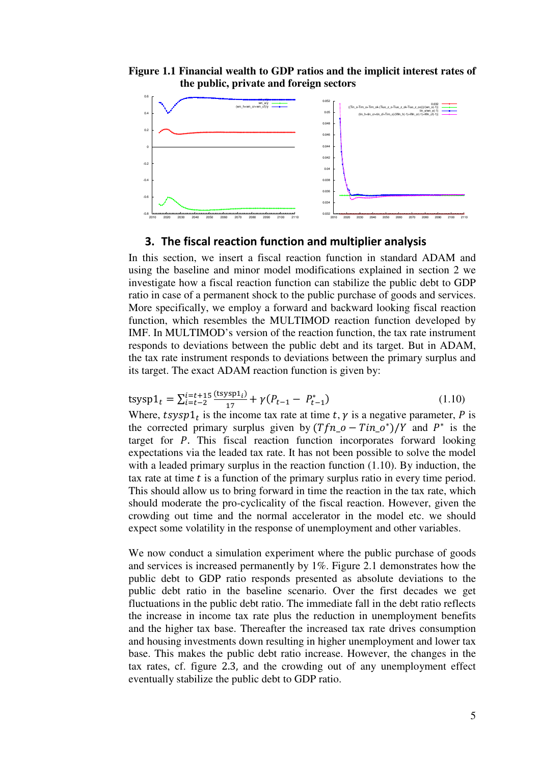### **Figure 1.1 Financial wealth to GDP ratios and the implicit interest rates of the public, private and foreign sectors**



## 3. The fiscal reaction function and multiplier analysis

In this section, we insert a fiscal reaction function in standard ADAM and using the baseline and minor model modifications explained in section 2 we investigate how a fiscal reaction function can stabilize the public debt to GDP ratio in case of a permanent shock to the public purchase of goods and services. More specifically, we employ a forward and backward looking fiscal reaction function, which resembles the MULTIMOD reaction function developed by IMF. In MULTIMOD's version of the reaction function, the tax rate instrument responds to deviations between the public debt and its target. But in ADAM, the tax rate instrument responds to deviations between the primary surplus and its target. The exact ADAM reaction function is given by:

$$
\text{tsysp1}_t = \sum_{i=t-2}^{i=t+15} \frac{\text{(tsysp1}_i)}{17} + \gamma (P_{t-1} - P_{t-1}^*)
$$
\n(1.10)

Where,  $t$ s  $\sum_{t=1}^{n}$  is the income tax rate at time  $t$ ,  $\gamma$  is a negative parameter, P is the corrected primary surplus given by  $(Tfn_0 - Tin_0^*)/Y$  and  $P^*$  is the target for  $P$ . This fiscal reaction function incorporates forward looking expectations via the leaded tax rate. It has not been possible to solve the model with a leaded primary surplus in the reaction function (1.10). By induction, the tax rate at time  $t$  is a function of the primary surplus ratio in every time period. This should allow us to bring forward in time the reaction in the tax rate, which should moderate the pro-cyclicality of the fiscal reaction. However, given the crowding out time and the normal accelerator in the model etc. we should expect some volatility in the response of unemployment and other variables.

We now conduct a simulation experiment where the public purchase of goods and services is increased permanently by 1%. Figure 2.1 demonstrates how the public debt to GDP ratio responds presented as absolute deviations to the public debt ratio in the baseline scenario. Over the first decades we get fluctuations in the public debt ratio. The immediate fall in the debt ratio reflects the increase in income tax rate plus the reduction in unemployment benefits and the higher tax base. Thereafter the increased tax rate drives consumption and housing investments down resulting in higher unemployment and lower tax base. This makes the public debt ratio increase. However, the changes in the tax rates, cf. figure 2.3, and the crowding out of any unemployment effect eventually stabilize the public debt to GDP ratio.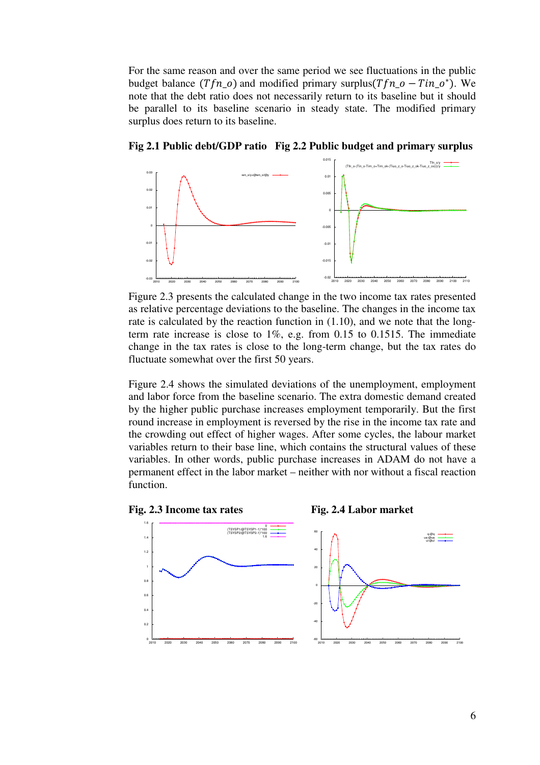For the same reason and over the same period we see fluctuations in the public budget balance  $(Tfn_0)$  and modified primary surplus( $Tfn_0 - Tin_0^*$ ). We note that the debt ratio does not necessarily return to its baseline but it should be parallel to its baseline scenario in steady state. The modified primary surplus does return to its baseline.



**Fig 2.1 Public debt/GDP ratio Fig 2.2 Public budget and primary surplus** 

Figure 2.3 presents the calculated change in the two income tax rates presented as relative percentage deviations to the baseline. The changes in the income tax rate is calculated by the reaction function in  $(1.10)$ , and we note that the longterm rate increase is close to 1%, e.g. from 0.15 to 0.1515. The immediate change in the tax rates is close to the long-term change, but the tax rates do fluctuate somewhat over the first 50 years.

Figure 2.4 shows the simulated deviations of the unemployment, employment and labor force from the baseline scenario. The extra domestic demand created by the higher public purchase increases employment temporarily. But the first round increase in employment is reversed by the rise in the income tax rate and the crowding out effect of higher wages. After some cycles, the labour market variables return to their base line, which contains the structural values of these variables. In other words, public purchase increases in ADAM do not have a permanent effect in the labor market – neither with nor without a fiscal reaction function.